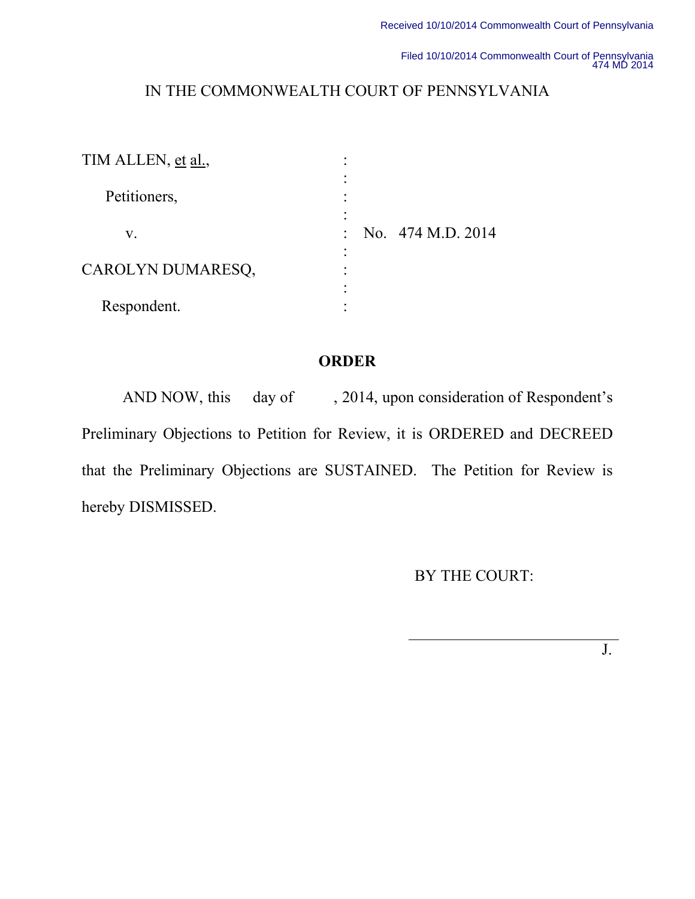Filed 10/10/2014 Commonwealth Court of Pennsylvania 474 MD 2014

# IN THE COMMONWEALTH COURT OF PENNSYLVANIA

| TIM ALLEN, et al., |                             |
|--------------------|-----------------------------|
| Petitioners,       |                             |
| V.                 | No. 474 M.D. 2014<br>$\sim$ |
| CAROLYN DUMARESQ,  |                             |
| Respondent.        |                             |

## **ORDER**

AND NOW, this day of , 2014, upon consideration of Respondent's Preliminary Objections to Petition for Review, it is ORDERED and DECREED that the Preliminary Objections are SUSTAINED. The Petition for Review is hereby DISMISSED.

BY THE COURT:

J.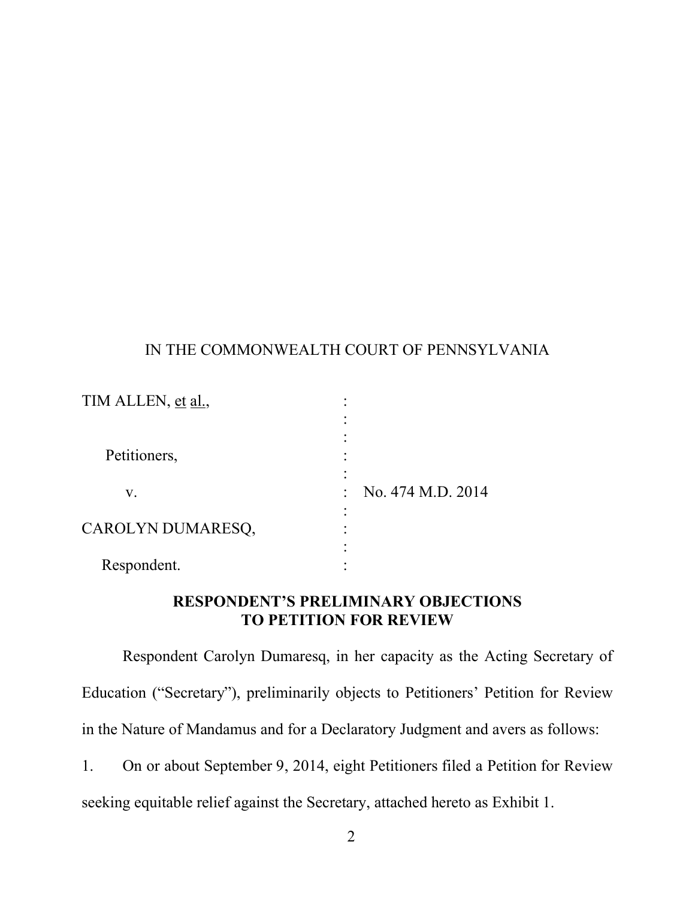### IN THE COMMONWEALTH COURT OF PENNSYLVANIA

| TIM ALLEN, et al., |                   |
|--------------------|-------------------|
| Petitioners,       |                   |
| V.                 | No. 474 M.D. 2014 |
| CAROLYN DUMARESQ,  |                   |
| Respondent.        |                   |

# **RESPONDENT'S PRELIMINARY OBJECTIONS TO PETITION FOR REVIEW**

Respondent Carolyn Dumaresq, in her capacity as the Acting Secretary of Education ("Secretary"), preliminarily objects to Petitioners' Petition for Review in the Nature of Mandamus and for a Declaratory Judgment and avers as follows:

1. On or about September 9, 2014, eight Petitioners filed a Petition for Review seeking equitable relief against the Secretary, attached hereto as Exhibit 1.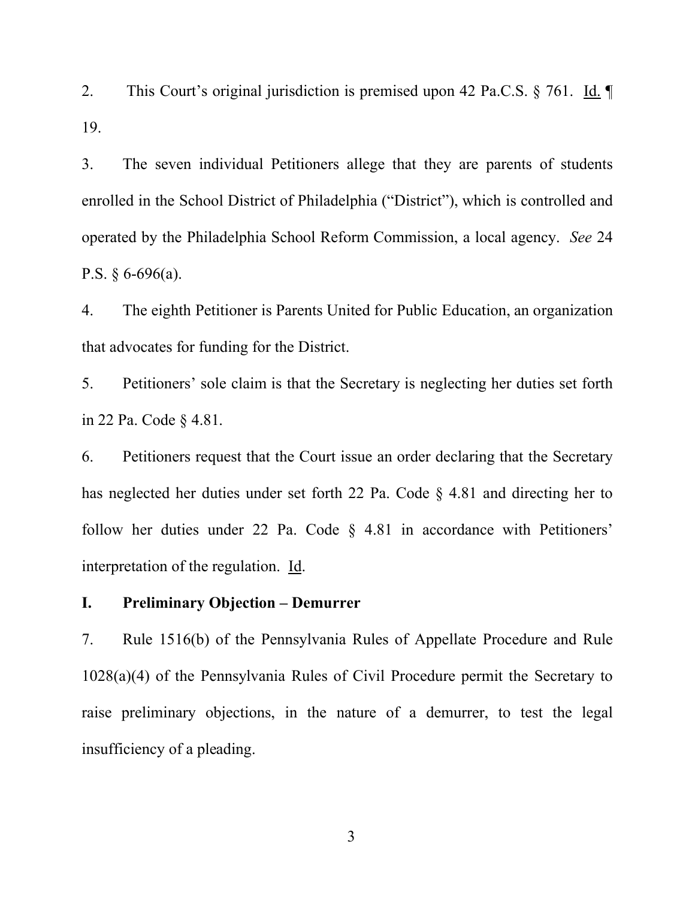2. This Court's original jurisdiction is premised upon 42 Pa.C.S. § 761. Id. ¶ 19.

3. The seven individual Petitioners allege that they are parents of students enrolled in the School District of Philadelphia ("District"), which is controlled and operated by the Philadelphia School Reform Commission, a local agency. *See* 24 P.S.  $\S 6-696(a)$ .

4. The eighth Petitioner is Parents United for Public Education, an organization that advocates for funding for the District.

5. Petitioners' sole claim is that the Secretary is neglecting her duties set forth in 22 Pa. Code § 4.81.

6. Petitioners request that the Court issue an order declaring that the Secretary has neglected her duties under set forth 22 Pa. Code § 4.81 and directing her to follow her duties under 22 Pa. Code § 4.81 in accordance with Petitioners' interpretation of the regulation. Id.

#### **I. Preliminary Objection – Demurrer**

7. Rule 1516(b) of the Pennsylvania Rules of Appellate Procedure and Rule 1028(a)(4) of the Pennsylvania Rules of Civil Procedure permit the Secretary to raise preliminary objections, in the nature of a demurrer, to test the legal insufficiency of a pleading.

3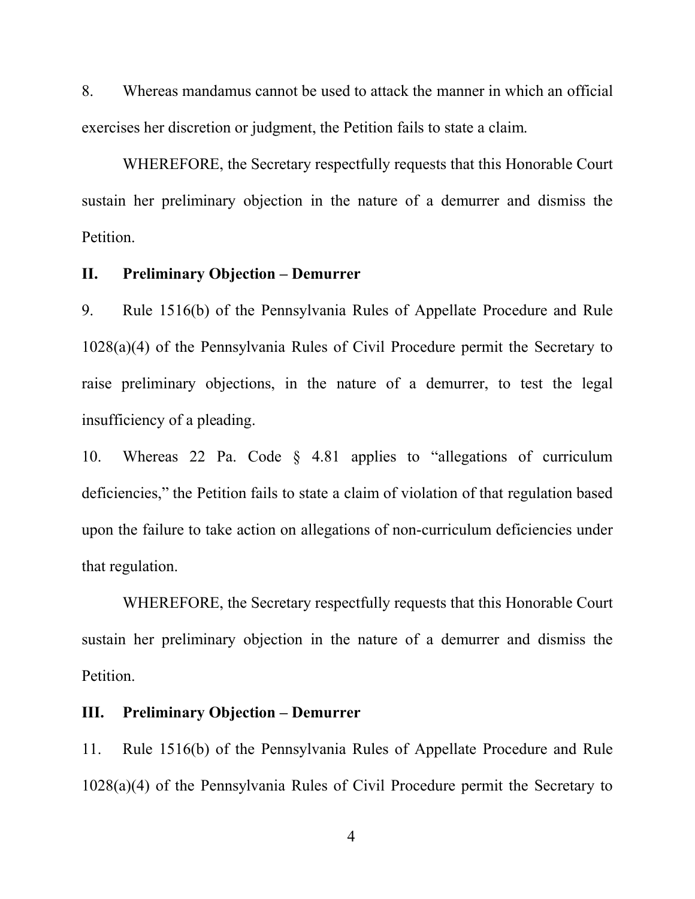8. Whereas mandamus cannot be used to attack the manner in which an official exercises her discretion or judgment, the Petition fails to state a claim.

WHEREFORE, the Secretary respectfully requests that this Honorable Court sustain her preliminary objection in the nature of a demurrer and dismiss the Petition.

#### **II. Preliminary Objection – Demurrer**

9. Rule 1516(b) of the Pennsylvania Rules of Appellate Procedure and Rule 1028(a)(4) of the Pennsylvania Rules of Civil Procedure permit the Secretary to raise preliminary objections, in the nature of a demurrer, to test the legal insufficiency of a pleading.

10. Whereas 22 Pa. Code § 4.81 applies to "allegations of curriculum deficiencies," the Petition fails to state a claim of violation of that regulation based upon the failure to take action on allegations of non-curriculum deficiencies under that regulation.

WHEREFORE, the Secretary respectfully requests that this Honorable Court sustain her preliminary objection in the nature of a demurrer and dismiss the Petition.

#### **III. Preliminary Objection – Demurrer**

11. Rule 1516(b) of the Pennsylvania Rules of Appellate Procedure and Rule 1028(a)(4) of the Pennsylvania Rules of Civil Procedure permit the Secretary to

4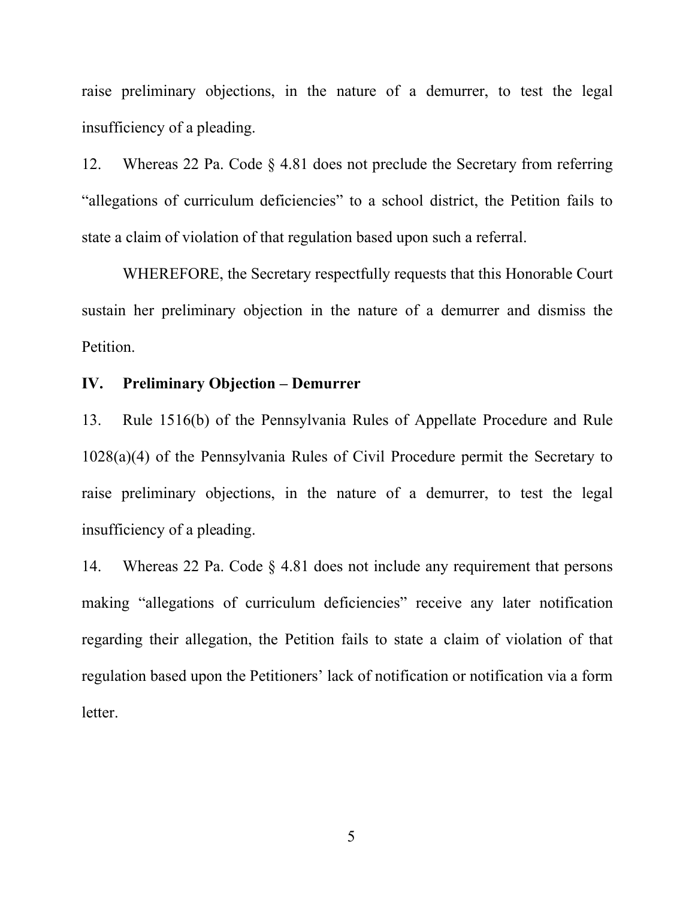raise preliminary objections, in the nature of a demurrer, to test the legal insufficiency of a pleading.

12. Whereas 22 Pa. Code § 4.81 does not preclude the Secretary from referring "allegations of curriculum deficiencies" to a school district, the Petition fails to state a claim of violation of that regulation based upon such a referral.

WHEREFORE, the Secretary respectfully requests that this Honorable Court sustain her preliminary objection in the nature of a demurrer and dismiss the Petition.

### **IV. Preliminary Objection – Demurrer**

13. Rule 1516(b) of the Pennsylvania Rules of Appellate Procedure and Rule 1028(a)(4) of the Pennsylvania Rules of Civil Procedure permit the Secretary to raise preliminary objections, in the nature of a demurrer, to test the legal insufficiency of a pleading.

14. Whereas 22 Pa. Code § 4.81 does not include any requirement that persons making "allegations of curriculum deficiencies" receive any later notification regarding their allegation, the Petition fails to state a claim of violation of that regulation based upon the Petitioners' lack of notification or notification via a form letter.

5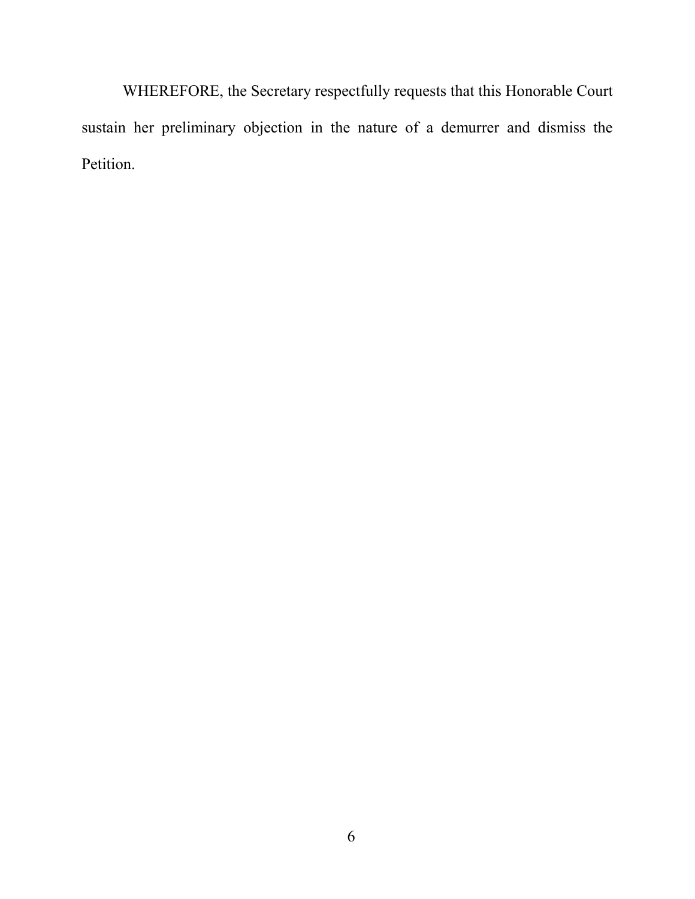WHEREFORE, the Secretary respectfully requests that this Honorable Court sustain her preliminary objection in the nature of a demurrer and dismiss the Petition.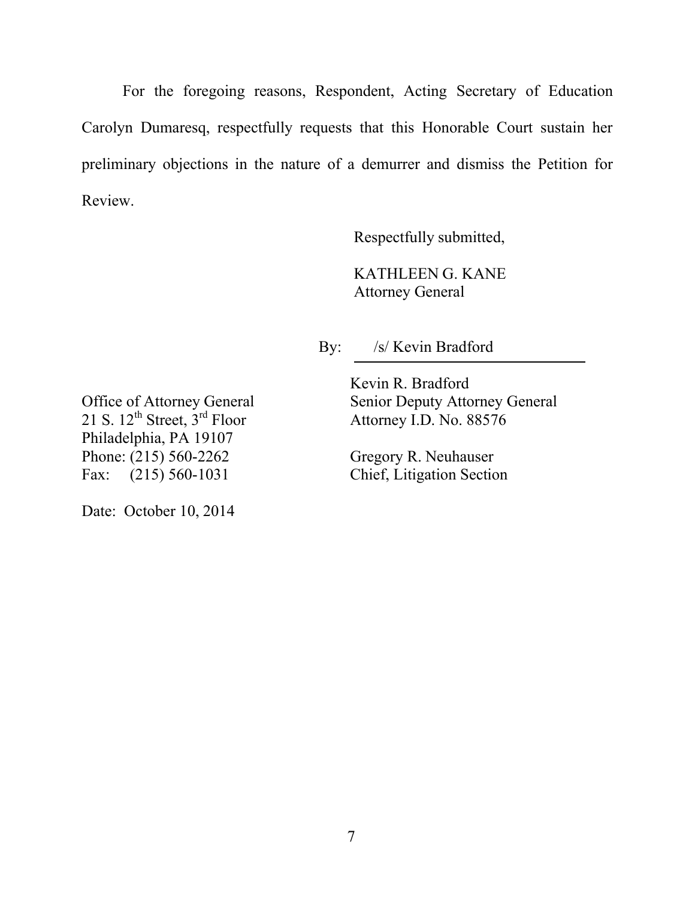For the foregoing reasons, Respondent, Acting Secretary of Education Carolyn Dumaresq, respectfully requests that this Honorable Court sustain her preliminary objections in the nature of a demurrer and dismiss the Petition for Review.

Respectfully submitted,

KATHLEEN G. KANE Attorney General

By: /s/ Kevin Bradford

Kevin R. Bradford Office of Attorney General Senior Deputy Attorney General

21 S.  $12^{th}$  Street,  $3^{rd}$  Floor Attorney I.D. No.  $88576$ Philadelphia, PA 19107 Phone: (215) 560-2262 Gregory R. Neuhauser Fax: (215) 560-1031 Chief, Litigation Section

Date: October 10, 2014